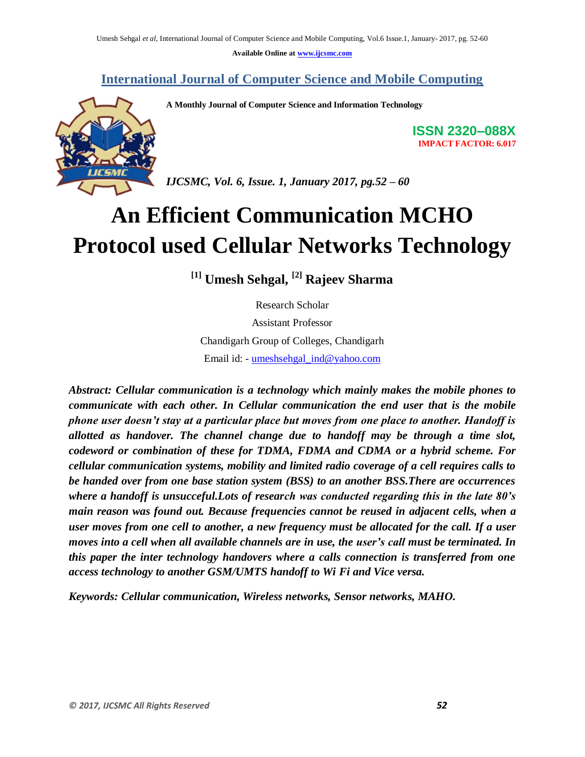**Available Online at [www.ijcsmc.com](http://www.ijcsmc.com/)**

**International Journal of Computer Science and Mobile Computing**



**A Monthly Journal of Computer Science and Information Technology**

**ISSN 2320–088X IMPACT FACTOR: 6.017**

*IJCSMC, Vol. 6, Issue. 1, January 2017, pg.52 – 60*

# **An Efficient Communication MCHO Protocol used Cellular Networks Technology**

**[1] Umesh Sehgal, [2] Rajeev Sharma**

Research Scholar Assistant Professor Chandigarh Group of Colleges, Chandigarh Email id: - [umeshsehgal\\_ind@yahoo.com](mailto:umeshsehgal_ind@yahoo.com) 

*Abstract: Cellular communication is a technology which mainly makes the mobile phones to communicate with each other. In Cellular communication the end user that is the mobile phone user doesn't stay at a particular place but moves from one place to another. Handoff is allotted as handover. The channel change due to handoff may be through a time slot, codeword or combination of these for TDMA, FDMA and CDMA or a hybrid scheme. For cellular communication systems, mobility and limited radio coverage of a cell requires calls to be handed over from one base station system (BSS) to an another BSS.There are occurrences where a handoff is unsucceful.Lots of research was conducted regarding this in the late 80's main reason was found out. Because frequencies cannot be reused in adjacent cells, when a user moves from one cell to another, a new frequency must be allocated for the call. If a user moves into a cell when all available channels are in use, the user's call must be terminated. In this paper the inter technology handovers where a calls connection is transferred from one access technology to another GSM/UMTS handoff to Wi Fi and Vice versa.*

*Keywords: Cellular communication, Wireless networks, Sensor networks, MAHO.*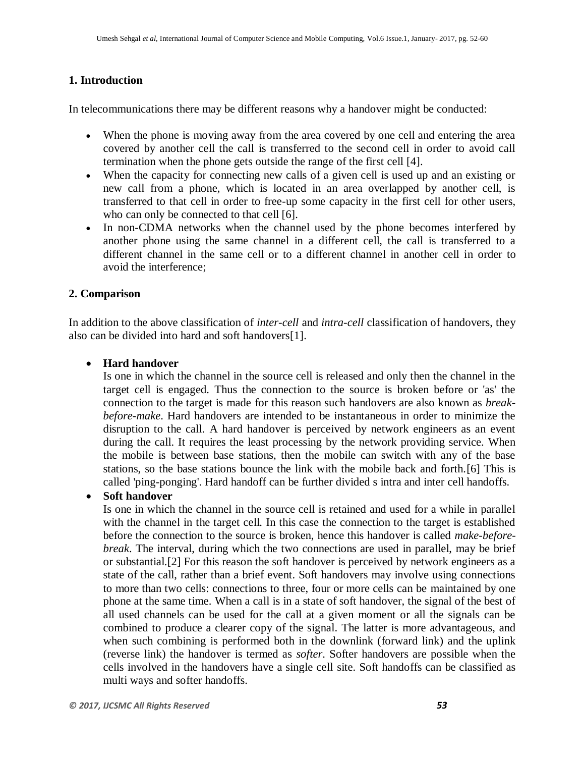## **1. Introduction**

In telecommunications there may be different reasons why a handover might be conducted:

- When the phone is moving away from the area covered by one cell and entering the area covered by another cell the call is transferred to the second cell in order to avoid call termination when the phone gets outside the range of the first cell [4].
- When the capacity for connecting new calls of a given cell is used up and an existing or new call from a phone, which is located in an area overlapped by another cell, is transferred to that cell in order to free-up some capacity in the first cell for other users, who can only be connected to that cell [6].
- In non[-CDMA](https://en.wikipedia.org/wiki/CDMA) networks when the channel used by the phone becomes interfered by another phone using the same channel in a different cell, the call is transferred to a different channel in the same cell or to a different channel in another cell in order to avoid the interference;

#### **2. Comparison**

In addition to the above classification of *inter-cell* and *intra-cell* classification of handovers, they also can be divided into hard and soft handovers[1].

#### **[Hard handover](http://it.toolbox.com/wiki/index.php/Hard_handoff)**

Is one in which the channel in the source cell is released and only then the channel in the target cell is engaged. Thus the connection to the source is broken before or 'as' the connection to the target is made for this reason such handovers are also known as *breakbefore-make*. Hard handovers are intended to be instantaneous in order to minimize the disruption to the call. A hard handover is perceived by network engineers as an event during the call. It requires the least processing by the network providing service. When the mobile is between base stations, then the mobile can switch with any of the base stations, so the base stations bounce the link with the mobile back and forth.[6] This is called 'ping-ponging'. Hard handoff can be further divided s intra and inter cell handoffs.

#### **[Soft handover](https://en.wikipedia.org/wiki/Soft_handover)**

Is one in which the channel in the source cell is retained and used for a while in parallel with the channel in the target cell. In this case the connection to the target is established before the connection to the source is broken, hence this handover is called *make-beforebreak*. The interval, during which the two connections are used in parallel, may be brief or substantial.[2] For this reason the soft handover is perceived by network engineers as a state of the call, rather than a brief event. Soft handovers may involve using connections to more than two cells: connections to three, four or more cells can be maintained by one phone at the same time. When a call is in a state of soft handover, the signal of the best of all used channels can be used for the call at a given moment or all the signals can be combined to produce a clearer copy of the signal. The latter is more advantageous, and when such combining is performed both in the [downlink](https://en.wikipedia.org/wiki/Downlink) [\(forward link\)](https://en.wikipedia.org/wiki/Forward_link) and the [uplink](https://en.wikipedia.org/wiki/Uplink) [\(reverse link\)](https://en.wikipedia.org/wiki/Reverse_link) the handover is termed as *softer*. Softer handovers are possible when the cells involved in the handovers have a single cell site. Soft handoffs can be classified as multi ways and softer handoffs.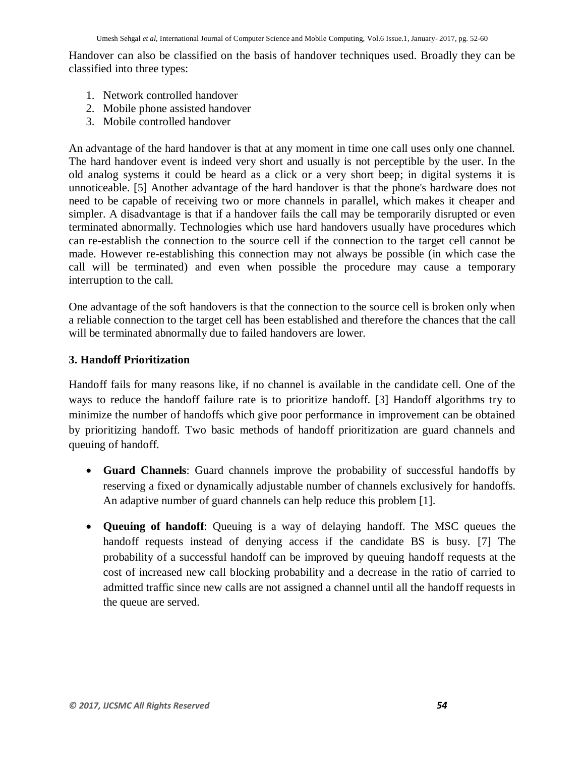Handover can also be classified on the basis of handover techniques used. Broadly they can be classified into three types:

- 1. Network controlled handover
- 2. Mobile phone assisted handover
- 3. Mobile controlled handover

An advantage of the hard handover is that at any moment in time one call uses only one channel. The hard handover event is indeed very short and usually is not perceptible by the user. In the old [analog](https://en.wikipedia.org/wiki/Analog_transmission) systems it could be heard as a click or a very short beep; in digital systems it is unnoticeable. [5] Another advantage of the hard handover is that the phone's hardware does not need to be capable of receiving two or more channels in parallel, which makes it cheaper and simpler. A disadvantage is that if a handover fails the call may be temporarily disrupted or even terminated abnormally. Technologies which use hard handovers usually have procedures which can re-establish the connection to the source cell if the connection to the target cell cannot be made. However re-establishing this connection may not always be possible (in which case the call will be terminated) and even when possible the procedure may cause a temporary interruption to the call.

One advantage of the soft handovers is that the connection to the source cell is broken only when a reliable connection to the target cell has been established and therefore the chances that the call will be terminated abnormally due to failed handovers are lower.

#### **3. Handoff Prioritization**

Handoff fails for many reasons like, if no channel is available in the candidate cell. One of the ways to reduce the handoff failure rate is to prioritize handoff. [3] Handoff algorithms try to minimize the number of handoffs which give poor performance in improvement can be obtained by prioritizing handoff. Two basic methods of handoff prioritization are guard channels and queuing of handoff.

- **Guard Channels**: Guard channels improve the probability of successful handoffs by reserving a fixed or dynamically adjustable number of channels exclusively for handoffs. An adaptive number of guard channels can help reduce this problem [1].
- **Queuing of handoff**: Queuing is a way of delaying handoff. The MSC queues the handoff requests instead of denying access if the candidate BS is busy. [7] The probability of a successful handoff can be improved by queuing handoff requests at the cost of increased new call blocking probability and a decrease in the ratio of carried to admitted traffic since new calls are not assigned a channel until all the handoff requests in the queue are served.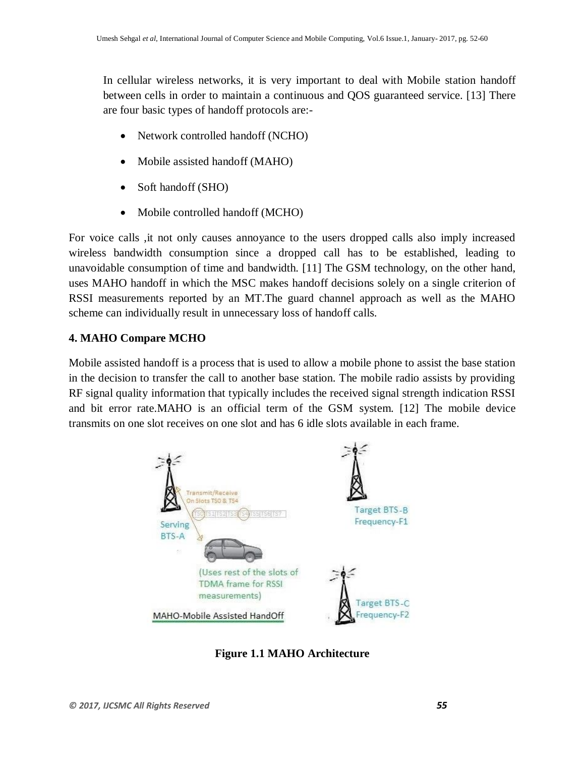In cellular wireless networks, it is very important to deal with Mobile station handoff between cells in order to maintain a continuous and QOS guaranteed service. [13] There are four basic types of handoff protocols are:-

- Network controlled handoff (NCHO)
- Mobile assisted handoff (MAHO)
- Soft handoff (SHO)
- Mobile controlled handoff (MCHO)

For voice calls ,it not only causes annoyance to the users dropped calls also imply increased wireless bandwidth consumption since a dropped call has to be established, leading to unavoidable consumption of time and bandwidth. [11] The GSM technology, on the other hand, uses MAHO handoff in which the MSC makes handoff decisions solely on a single criterion of RSSI measurements reported by an MT.The guard channel approach as well as the MAHO scheme can individually result in unnecessary loss of handoff calls.

#### **4. MAHO Compare MCHO**

Mobile assisted handoff is a process that is used to allow a mobile phone to assist the base station in the decision to transfer the call to another base station. The mobile radio assists by providing RF signal quality information that typically includes the received signal strength indication RSSI and bit error rate.MAHO is an official term of the GSM system. [12] The mobile device transmits on one slot receives on one slot and has 6 idle slots available in each frame.



**Figure 1.1 MAHO Architecture**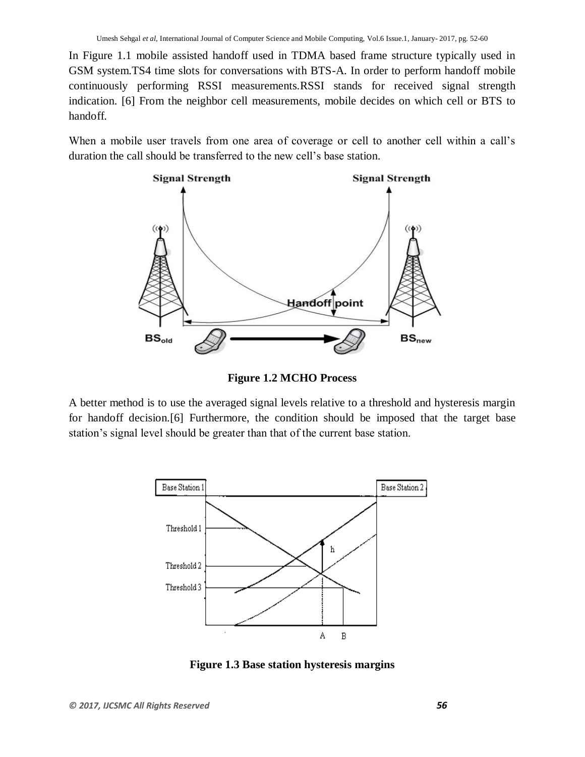In Figure 1.1 mobile assisted handoff used in TDMA based frame structure typically used in GSM system.TS4 time slots for conversations with BTS-A. In order to perform handoff mobile continuously performing RSSI measurements.RSSI stands for received signal strength indication. [6] From the neighbor cell measurements, mobile decides on which cell or BTS to handoff.

When a mobile user travels from one area of coverage or cell to another cell within a call's duration the call should be transferred to the new cell's base station.



**Figure 1.2 MCHO Process**

A better method is to use the averaged signal levels relative to a threshold and hysteresis margin for handoff decision.[6] Furthermore, the condition should be imposed that the target base station's signal level should be greater than that of the current base station.



**Figure 1.3 Base station hysteresis margins**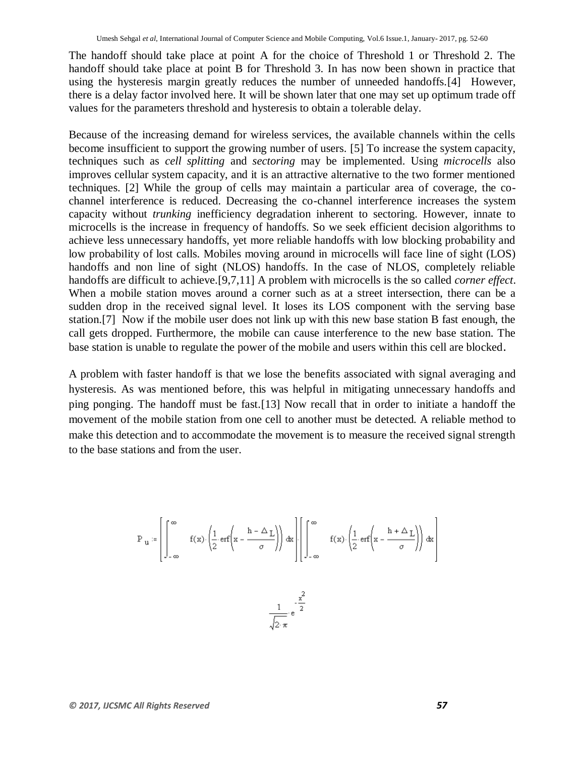The handoff should take place at point A for the choice of Threshold 1 or Threshold 2. The handoff should take place at point B for Threshold 3. In has now been shown in practice that using the hysteresis margin greatly reduces the number of unneeded handoffs.[4] However, there is a delay factor involved here. It will be shown later that one may set up optimum trade off values for the parameters threshold and hysteresis to obtain a tolerable delay.

Because of the increasing demand for wireless services, the available channels within the cells become insufficient to support the growing number of users. [5] To increase the system capacity, techniques such as *cell splitting* and *sectoring* may be implemented. Using *microcells* also improves cellular system capacity, and it is an attractive alternative to the two former mentioned techniques. [2] While the group of cells may maintain a particular area of coverage, the cochannel interference is reduced. Decreasing the co-channel interference increases the system capacity without *trunking* inefficiency degradation inherent to sectoring. However, innate to microcells is the increase in frequency of handoffs. So we seek efficient decision algorithms to achieve less unnecessary handoffs, yet more reliable handoffs with low blocking probability and low probability of lost calls. Mobiles moving around in microcells will face line of sight (LOS) handoffs and non line of sight (NLOS) handoffs. In the case of NLOS, completely reliable handoffs are difficult to achieve.[9,7,11] A problem with microcells is the so called *corner effect*. When a mobile station moves around a corner such as at a street intersection, there can be a sudden drop in the received signal level. It loses its LOS component with the serving base station.[7] Now if the mobile user does not link up with this new base station B fast enough, the call gets dropped. Furthermore, the mobile can cause interference to the new base station. The base station is unable to regulate the power of the mobile and users within this cell are blocked.

A problem with faster handoff is that we lose the benefits associated with signal averaging and hysteresis. As was mentioned before, this was helpful in mitigating unnecessary handoffs and ping ponging. The handoff must be fast.[13] Now recall that in order to initiate a handoff the movement of the mobile station from one cell to another must be detected. A reliable method to make this detection and to accommodate the movement is to measure the received signal strength to the base stations and from the user.

$$
P_{u} := \left[ \int_{-\infty}^{\infty} f(x) \cdot \left( \frac{1}{2} \cdot \text{erf}\left(x - \frac{h - \Delta_{L}}{\sigma}\right) \right) dx \right] \cdot \left[ \int_{-\infty}^{\infty} f(x) \cdot \left( \frac{1}{2} \cdot \text{erf}\left(x - \frac{h + \Delta_{L}}{\sigma}\right) \right) dx \right]
$$
  

$$
\frac{1}{\sqrt{n}} \cdot e^{-\frac{x^{2}}{2}}
$$

 $\sqrt{2 \cdot \pi}$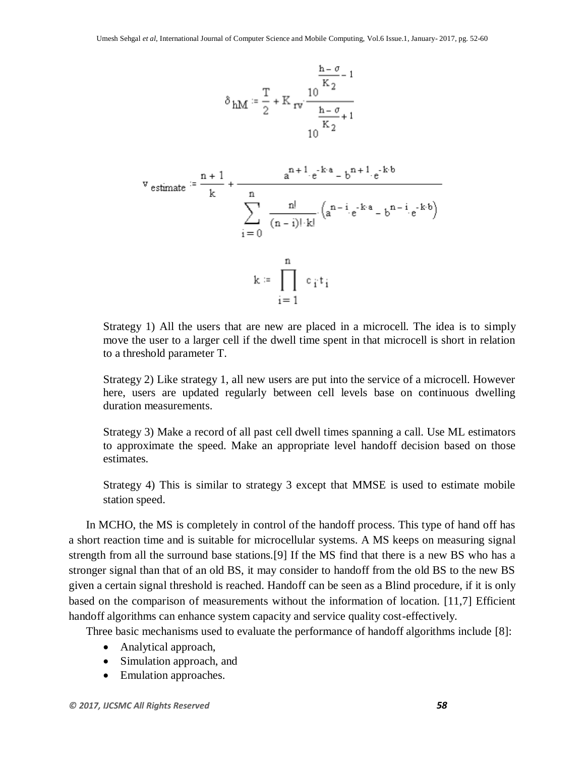$$
\delta_{hM} := \frac{T}{2} + K_{rv} \frac{10^{-\frac{h - \sigma}{K_2} - 1}}{\frac{h - \sigma}{K_2} + 1}
$$
  

$$
V_{\text{estimate}} := \frac{n + 1}{k} + \frac{a^{n + 1} \cdot e^{-k \cdot a} - b^{n + 1} \cdot e^{-k \cdot b}}{\sum_{i=0}^{n} \frac{n!}{(n - i)! \cdot k!} \left(a^{n - i} \cdot e^{-k \cdot a} - b^{n - i} \cdot e^{-k \cdot b}\right)}
$$
  

$$
k := \prod_{i=1}^{n} c_i t_i
$$

Strategy 1) All the users that are new are placed in a microcell. The idea is to simply move the user to a larger cell if the dwell time spent in that microcell is short in relation to a threshold parameter T.

Strategy 2) Like strategy 1, all new users are put into the service of a microcell. However here, users are updated regularly between cell levels base on continuous dwelling duration measurements.

Strategy 3) Make a record of all past cell dwell times spanning a call. Use ML estimators to approximate the speed. Make an appropriate level handoff decision based on those estimates.

Strategy 4) This is similar to strategy 3 except that MMSE is used to estimate mobile station speed.

In MCHO, the MS is completely in control of the handoff process. This type of hand off has a short reaction time and is suitable for microcellular systems. A MS keeps on measuring signal strength from all the surround base stations.[9] If the MS find that there is a new BS who has a stronger signal than that of an old BS, it may consider to handoff from the old BS to the new BS given a certain signal threshold is reached. Handoff can be seen as a Blind procedure, if it is only based on the comparison of measurements without the information of location. [11,7] Efficient handoff algorithms can enhance system capacity and service quality cost-effectively.

Three basic mechanisms used to evaluate the performance of handoff algorithms include [8]:

- Analytical approach,
- Simulation approach, and
- Emulation approaches.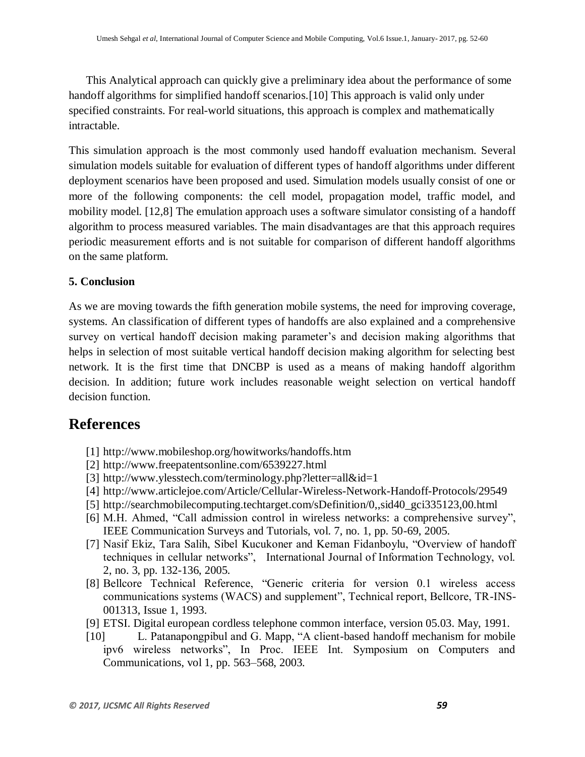This Analytical approach can quickly give a preliminary idea about the performance of some handoff algorithms for simplified handoff scenarios.[10] This approach is valid only under specified constraints. For real-world situations, this approach is complex and mathematically intractable.

This simulation approach is the most commonly used handoff evaluation mechanism. Several simulation models suitable for evaluation of different types of handoff algorithms under different deployment scenarios have been proposed and used. Simulation models usually consist of one or more of the following components: the cell model, propagation model, traffic model, and mobility model. [12,8] The emulation approach uses a software simulator consisting of a handoff algorithm to process measured variables. The main disadvantages are that this approach requires periodic measurement efforts and is not suitable for comparison of different handoff algorithms on the same platform.

## **5. Conclusion**

As we are moving towards the fifth generation mobile systems, the need for improving coverage, systems. An classification of different types of handoffs are also explained and a comprehensive survey on vertical handoff decision making parameter's and decision making algorithms that helps in selection of most suitable vertical handoff decision making algorithm for selecting best network. It is the first time that DNCBP is used as a means of making handoff algorithm decision. In addition; future work includes reasonable weight selection on vertical handoff decision function.

# **References**

- [1] <http://www.mobileshop.org/howitworks/handoffs.htm>
- [2] <http://www.freepatentsonline.com/6539227.html>
- [3] <http://www.ylesstech.com/terminology.php?letter=all&id=1>
- [4] <http://www.articlejoe.com/Article/Cellular-Wireless-Network-Handoff-Protocols/29549>
- [5] [http://searchmobilecomputing.techtarget.com/sDefinition/0,,sid40\\_gci335123,00.html](http://searchmobilecomputing.techtarget.com/sDefinition/0,,sid40_gci335123,00.html)
- [6] M.H. Ahmed, "Call admission control in wireless networks: a comprehensive survey", IEEE Communication Surveys and Tutorials, vol. 7, no. 1, pp. 50-69, 2005.
- [7] Nasif Ekiz, Tara Salih, Sibel Kucukoner and Keman Fidanboylu, "Overview of handoff techniques in cellular networks", International Journal of Information Technology, vol. 2, no. 3, pp. 132-136, 2005.
- [8] Bellcore Technical Reference, "Generic criteria for version 0.1 wireless access communications systems (WACS) and supplement", Technical report, Bellcore, TR-INS-001313, Issue 1, 1993.
- [9] ETSI. Digital european cordless telephone common interface, version 05.03. May, 1991.
- [10] L. Patanapongpibul and G. Mapp, "A client-based handoff mechanism for mobile ipv6 wireless networks", In Proc. IEEE Int. Symposium on Computers and Communications, vol 1, pp. 563–568, 2003.